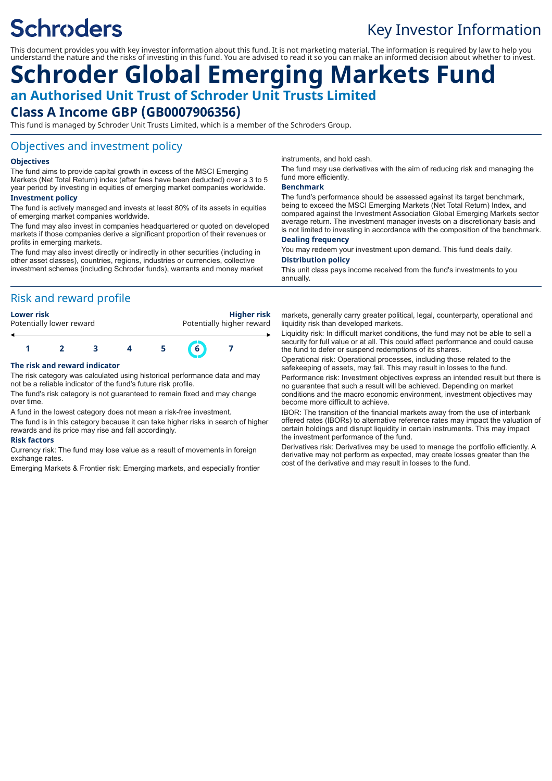# **Schroders**

## Key Investor Information

This document provides you with key investor information about this fund. It is not marketing material. The information is required by law to help you understand the nature and the risks of investing in this fund. You are advised to read it so you can make an informed decision about whether to invest.

## **Schroder Global Emerging Markets Fund an Authorised Unit Trust of Schroder Unit Trusts Limited Class A Income GBP (GB0007906356)**

This fund is managed by Schroder Unit Trusts Limited, which is a member of the Schroders Group.

#### Objectives and investment policy

#### **Objectives**

The fund aims to provide capital growth in excess of the MSCI Emerging Markets (Net Total Return) index (after fees have been deducted) over a 3 to 5 year period by investing in equities of emerging market companies worldwide.

#### **Investment policy**

The fund is actively managed and invests at least 80% of its assets in equities of emerging market companies worldwide.

The fund may also invest in companies headquartered or quoted on developed markets if those companies derive a significant proportion of their revenues or profits in emerging markets.

The fund may also invest directly or indirectly in other securities (including in other asset classes), countries, regions, industries or currencies, collective investment schemes (including Schroder funds), warrants and money market

#### Risk and reward profile

**Lower risk Higher risk** Potentially higher reward



#### **The risk and reward indicator**

The risk category was calculated using historical performance data and may not be a reliable indicator of the fund's future risk profile.

The fund's risk category is not guaranteed to remain fixed and may change over time.

A fund in the lowest category does not mean a risk-free investment.

The fund is in this category because it can take higher risks in search of higher rewards and its price may rise and fall accordingly.

#### **Risk factors**

Currency risk: The fund may lose value as a result of movements in foreign exchange rates.

Emerging Markets & Frontier risk: Emerging markets, and especially frontier

instruments, and hold cash.

The fund may use derivatives with the aim of reducing risk and managing the fund more efficiently.

#### **Benchmark**

The fund's performance should be assessed against its target benchmark, being to exceed the MSCI Emerging Markets (Net Total Return) Index, and compared against the Investment Association Global Emerging Markets sector average return. The investment manager invests on a discretionary basis and is not limited to investing in accordance with the composition of the benchmark.

#### **Dealing frequency**

You may redeem your investment upon demand. This fund deals daily. **Distribution policy**

This unit class pays income received from the fund's investments to you annually.

markets, generally carry greater political, legal, counterparty, operational and liquidity risk than developed markets.

Liquidity risk: In difficult market conditions, the fund may not be able to sell a security for full value or at all. This could affect performance and could cause the fund to defer or suspend redemptions of its shares.

Operational risk: Operational processes, including those related to the safekeeping of assets, may fail. This may result in losses to the fund. Performance risk: Investment objectives express an intended result but there is no guarantee that such a result will be achieved. Depending on market conditions and the macro economic environment, investment objectives may become more difficult to achieve.

IBOR: The transition of the financial markets away from the use of interbank offered rates (IBORs) to alternative reference rates may impact the valuation of certain holdings and disrupt liquidity in certain instruments. This may impact the investment performance of the fund.

Derivatives risk: Derivatives may be used to manage the portfolio efficiently. A derivative may not perform as expected, may create losses greater than the cost of the derivative and may result in losses to the fund.